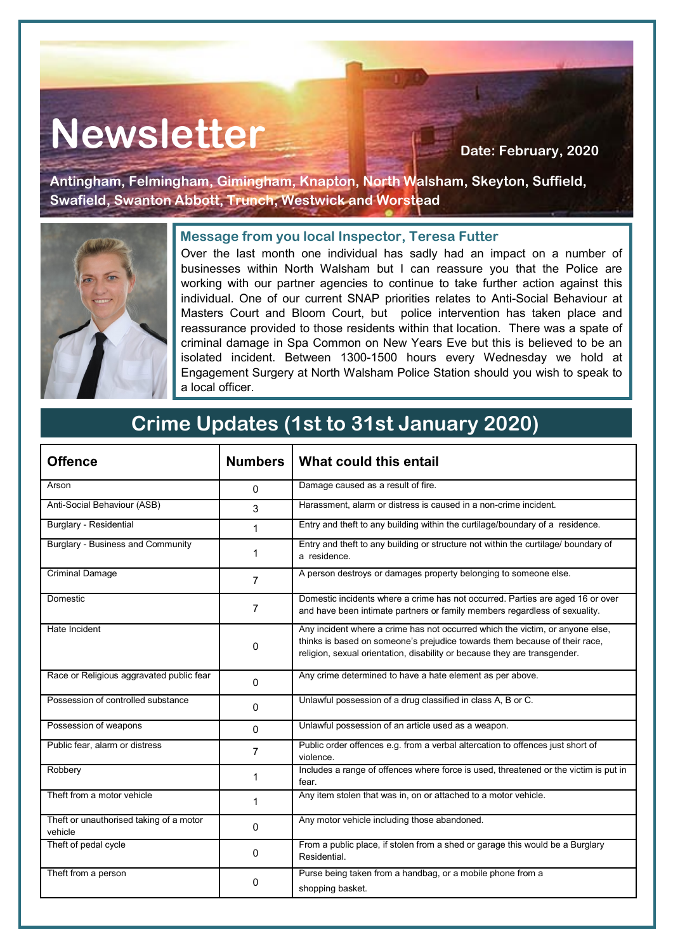# Newsletter **Newsletter Date: February, 2020**

**Antingham, Felmingham, Gimingham, Knapton, North Walsham, Skeyton, Suffield, Swafield, Swanton Abbott, Trunch, Westwick and Worstead**



#### **Message from you local Inspector, Teresa Futter**

Over the last month one individual has sadly had an impact on a number of businesses within North Walsham but I can reassure you that the Police are working with our partner agencies to continue to take further action against this individual. One of our current SNAP priorities relates to Anti-Social Behaviour at Masters Court and Bloom Court, but police intervention has taken place and reassurance provided to those residents within that location. There was a spate of criminal damage in Spa Common on New Years Eve but this is believed to be an isolated incident. Between 1300-1500 hours every Wednesday we hold at Engagement Surgery at North Walsham Police Station should you wish to speak to a local officer.

### **Crime Updates (1st to 31st January 2020)**

| <b>Offence</b>                                     | <b>Numbers</b> | What could this entail                                                                                                                                                                                                                   |
|----------------------------------------------------|----------------|------------------------------------------------------------------------------------------------------------------------------------------------------------------------------------------------------------------------------------------|
| Arson                                              | 0              | Damage caused as a result of fire.                                                                                                                                                                                                       |
| Anti-Social Behaviour (ASB)                        | 3              | Harassment, alarm or distress is caused in a non-crime incident.                                                                                                                                                                         |
| <b>Burglary - Residential</b>                      | 1              | Entry and theft to any building within the curtilage/boundary of a residence.                                                                                                                                                            |
| <b>Burglary - Business and Community</b>           | 1              | Entry and theft to any building or structure not within the curtilage/ boundary of<br>a residence.                                                                                                                                       |
| <b>Criminal Damage</b>                             | 7              | A person destroys or damages property belonging to someone else.                                                                                                                                                                         |
| Domestic                                           | 7              | Domestic incidents where a crime has not occurred. Parties are aged 16 or over<br>and have been intimate partners or family members regardless of sexuality.                                                                             |
| Hate Incident                                      | $\Omega$       | Any incident where a crime has not occurred which the victim, or anyone else,<br>thinks is based on someone's prejudice towards them because of their race.<br>religion, sexual orientation, disability or because they are transgender. |
| Race or Religious aggravated public fear           | $\Omega$       | Any crime determined to have a hate element as per above.                                                                                                                                                                                |
| Possession of controlled substance                 | 0              | Unlawful possession of a drug classified in class A, B or C.                                                                                                                                                                             |
| Possession of weapons                              | $\Omega$       | Unlawful possession of an article used as a weapon.                                                                                                                                                                                      |
| Public fear, alarm or distress                     | 7              | Public order offences e.g. from a verbal altercation to offences just short of<br>violence.                                                                                                                                              |
| Robbery                                            | 1              | Includes a range of offences where force is used, threatened or the victim is put in<br>fear.                                                                                                                                            |
| Theft from a motor vehicle                         | 1              | Any item stolen that was in, on or attached to a motor vehicle.                                                                                                                                                                          |
| Theft or unauthorised taking of a motor<br>vehicle | $\Omega$       | Any motor vehicle including those abandoned.                                                                                                                                                                                             |
| Theft of pedal cycle                               | 0              | From a public place, if stolen from a shed or garage this would be a Burglary<br>Residential.                                                                                                                                            |
| Theft from a person                                | 0              | Purse being taken from a handbag, or a mobile phone from a<br>shopping basket.                                                                                                                                                           |